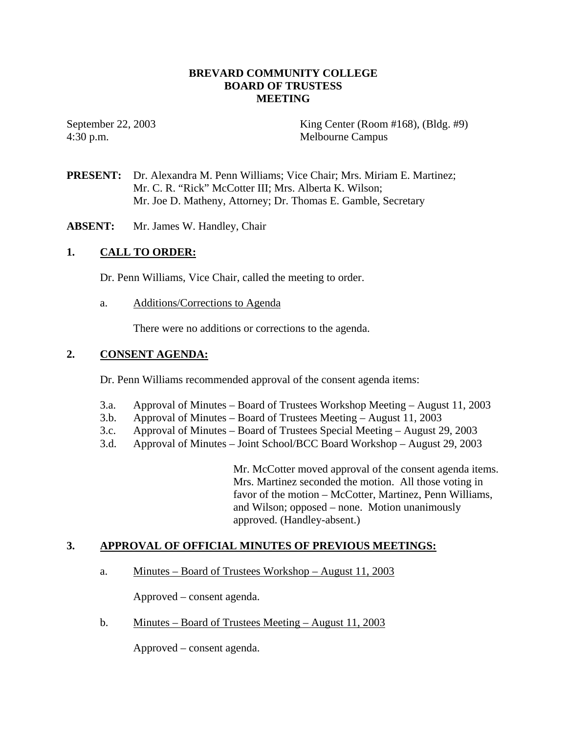## **BREVARD COMMUNITY COLLEGE BOARD OF TRUSTESS MEETING**

4:30 p.m. Melbourne Campus

September 22, 2003 King Center (Room #168), (Bldg. #9)

- **PRESENT:** Dr. Alexandra M. Penn Williams; Vice Chair; Mrs. Miriam E. Martinez; Mr. C. R. "Rick" McCotter III; Mrs. Alberta K. Wilson; Mr. Joe D. Matheny, Attorney; Dr. Thomas E. Gamble, Secretary
- **ABSENT:** Mr. James W. Handley, Chair

# **1. CALL TO ORDER:**

Dr. Penn Williams, Vice Chair, called the meeting to order.

a. Additions/Corrections to Agenda

There were no additions or corrections to the agenda.

# **2. CONSENT AGENDA:**

Dr. Penn Williams recommended approval of the consent agenda items:

- 3.a. Approval of Minutes Board of Trustees Workshop Meeting August 11, 2003
- 3.b. Approval of Minutes Board of Trustees Meeting August 11, 2003
- 3.c. Approval of Minutes Board of Trustees Special Meeting August 29, 2003
- 3.d. Approval of Minutes Joint School/BCC Board Workshop August 29, 2003

Mr. McCotter moved approval of the consent agenda items. Mrs. Martinez seconded the motion. All those voting in favor of the motion – McCotter, Martinez, Penn Williams, and Wilson; opposed – none. Motion unanimously approved. (Handley-absent.)

### **3. APPROVAL OF OFFICIAL MINUTES OF PREVIOUS MEETINGS:**

a. Minutes – Board of Trustees Workshop – August 11, 2003

Approved – consent agenda.

b. Minutes – Board of Trustees Meeting – August 11, 2003

Approved – consent agenda.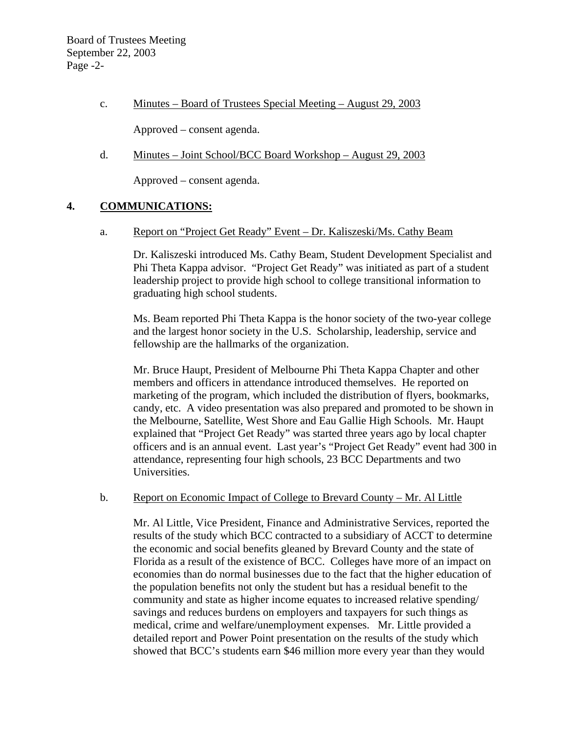c. Minutes – Board of Trustees Special Meeting – August 29, 2003

Approved – consent agenda.

d. Minutes – Joint School/BCC Board Workshop – August 29, 2003

Approved – consent agenda.

# **4. COMMUNICATIONS:**

a. Report on "Project Get Ready" Event – Dr. Kaliszeski/Ms. Cathy Beam

Dr. Kaliszeski introduced Ms. Cathy Beam, Student Development Specialist and Phi Theta Kappa advisor. "Project Get Ready" was initiated as part of a student leadership project to provide high school to college transitional information to graduating high school students.

Ms. Beam reported Phi Theta Kappa is the honor society of the two-year college and the largest honor society in the U.S. Scholarship, leadership, service and fellowship are the hallmarks of the organization.

Mr. Bruce Haupt, President of Melbourne Phi Theta Kappa Chapter and other members and officers in attendance introduced themselves. He reported on marketing of the program, which included the distribution of flyers, bookmarks, candy, etc. A video presentation was also prepared and promoted to be shown in the Melbourne, Satellite, West Shore and Eau Gallie High Schools. Mr. Haupt explained that "Project Get Ready" was started three years ago by local chapter officers and is an annual event. Last year's "Project Get Ready" event had 300 in attendance, representing four high schools, 23 BCC Departments and two Universities.

### b. Report on Economic Impact of College to Brevard County – Mr. Al Little

Mr. Al Little, Vice President, Finance and Administrative Services, reported the results of the study which BCC contracted to a subsidiary of ACCT to determine the economic and social benefits gleaned by Brevard County and the state of Florida as a result of the existence of BCC. Colleges have more of an impact on economies than do normal businesses due to the fact that the higher education of the population benefits not only the student but has a residual benefit to the community and state as higher income equates to increased relative spending/ savings and reduces burdens on employers and taxpayers for such things as medical, crime and welfare/unemployment expenses. Mr. Little provided a detailed report and Power Point presentation on the results of the study which showed that BCC's students earn \$46 million more every year than they would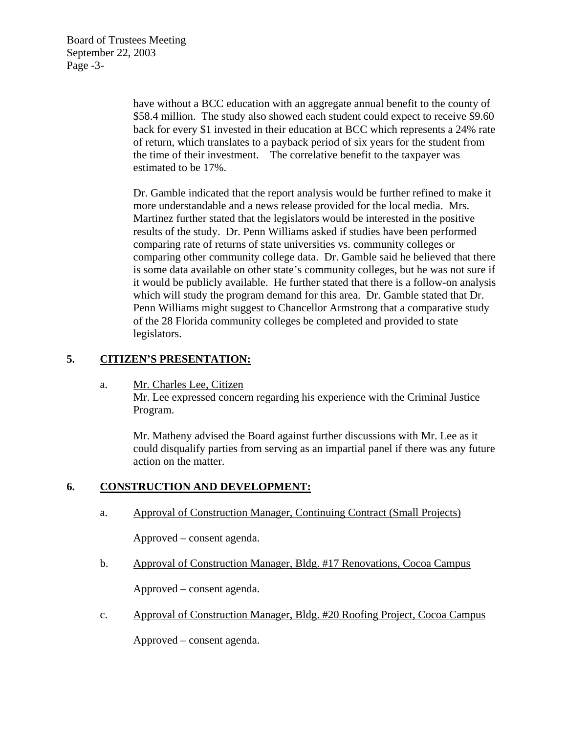Board of Trustees Meeting September 22, 2003 Page -3-

> have without a BCC education with an aggregate annual benefit to the county of \$58.4 million. The study also showed each student could expect to receive \$9.60 back for every \$1 invested in their education at BCC which represents a 24% rate of return, which translates to a payback period of six years for the student from the time of their investment. The correlative benefit to the taxpayer was estimated to be 17%.

> Dr. Gamble indicated that the report analysis would be further refined to make it more understandable and a news release provided for the local media. Mrs. Martinez further stated that the legislators would be interested in the positive results of the study. Dr. Penn Williams asked if studies have been performed comparing rate of returns of state universities vs. community colleges or comparing other community college data. Dr. Gamble said he believed that there is some data available on other state's community colleges, but he was not sure if it would be publicly available. He further stated that there is a follow-on analysis which will study the program demand for this area. Dr. Gamble stated that Dr. Penn Williams might suggest to Chancellor Armstrong that a comparative study of the 28 Florida community colleges be completed and provided to state legislators.

## **5. CITIZEN'S PRESENTATION:**

a. Mr. Charles Lee, Citizen

Mr. Lee expressed concern regarding his experience with the Criminal Justice Program.

Mr. Matheny advised the Board against further discussions with Mr. Lee as it could disqualify parties from serving as an impartial panel if there was any future action on the matter.

# **6. CONSTRUCTION AND DEVELOPMENT:**

a. Approval of Construction Manager, Continuing Contract (Small Projects)

Approved – consent agenda.

b. Approval of Construction Manager, Bldg. #17 Renovations, Cocoa Campus

Approved – consent agenda.

c. Approval of Construction Manager, Bldg. #20 Roofing Project, Cocoa Campus

Approved – consent agenda.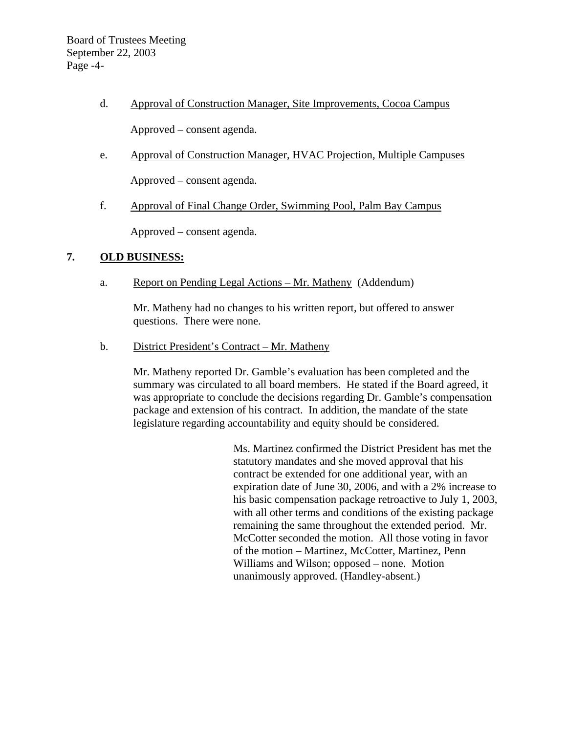Board of Trustees Meeting September 22, 2003 Page -4-

d. Approval of Construction Manager, Site Improvements, Cocoa Campus

Approved – consent agenda.

e. Approval of Construction Manager, HVAC Projection, Multiple Campuses

Approved – consent agenda.

f. Approval of Final Change Order, Swimming Pool, Palm Bay Campus

Approved – consent agenda.

## **7. OLD BUSINESS:**

a. Report on Pending Legal Actions – Mr. Matheny (Addendum)

Mr. Matheny had no changes to his written report, but offered to answer questions. There were none.

b. District President's Contract – Mr. Matheny

Mr. Matheny reported Dr. Gamble's evaluation has been completed and the summary was circulated to all board members. He stated if the Board agreed, it was appropriate to conclude the decisions regarding Dr. Gamble's compensation package and extension of his contract. In addition, the mandate of the state legislature regarding accountability and equity should be considered.

> Ms. Martinez confirmed the District President has met the statutory mandates and she moved approval that his contract be extended for one additional year, with an expiration date of June 30, 2006, and with a 2% increase to his basic compensation package retroactive to July 1, 2003, with all other terms and conditions of the existing package remaining the same throughout the extended period. Mr. McCotter seconded the motion. All those voting in favor of the motion – Martinez, McCotter, Martinez, Penn Williams and Wilson; opposed – none. Motion unanimously approved. (Handley-absent.)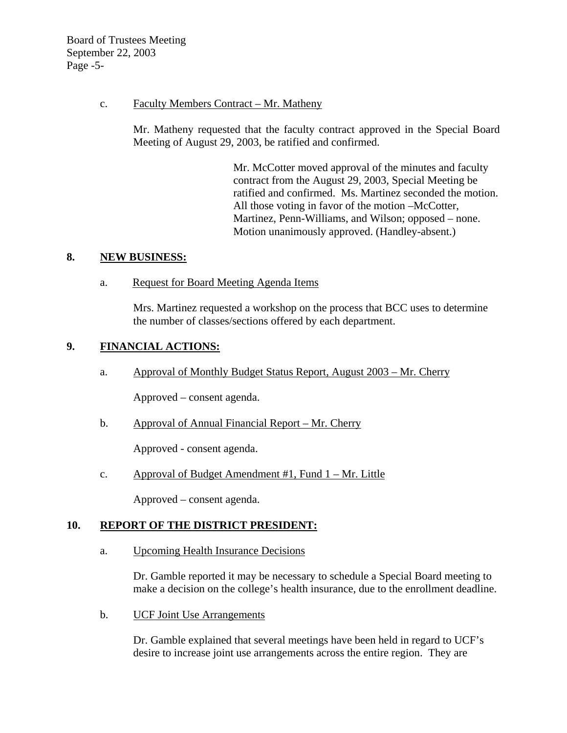Board of Trustees Meeting September 22, 2003 Page -5-

### c. Faculty Members Contract – Mr. Matheny

Mr. Matheny requested that the faculty contract approved in the Special Board Meeting of August 29, 2003, be ratified and confirmed.

> Mr. McCotter moved approval of the minutes and faculty contract from the August 29, 2003, Special Meeting be ratified and confirmed. Ms. Martinez seconded the motion. All those voting in favor of the motion –McCotter, Martinez, Penn-Williams, and Wilson; opposed – none. Motion unanimously approved. (Handley-absent.)

### **8. NEW BUSINESS:**

a. Request for Board Meeting Agenda Items

Mrs. Martinez requested a workshop on the process that BCC uses to determine the number of classes/sections offered by each department.

## **9. FINANCIAL ACTIONS:**

a. Approval of Monthly Budget Status Report, August 2003 – Mr. Cherry

Approved – consent agenda.

b. Approval of Annual Financial Report – Mr. Cherry

Approved - consent agenda.

c. Approval of Budget Amendment #1, Fund 1 – Mr. Little

Approved – consent agenda.

### **10. REPORT OF THE DISTRICT PRESIDENT:**

a. Upcoming Health Insurance Decisions

Dr. Gamble reported it may be necessary to schedule a Special Board meeting to make a decision on the college's health insurance, due to the enrollment deadline.

b. UCF Joint Use Arrangements

Dr. Gamble explained that several meetings have been held in regard to UCF's desire to increase joint use arrangements across the entire region. They are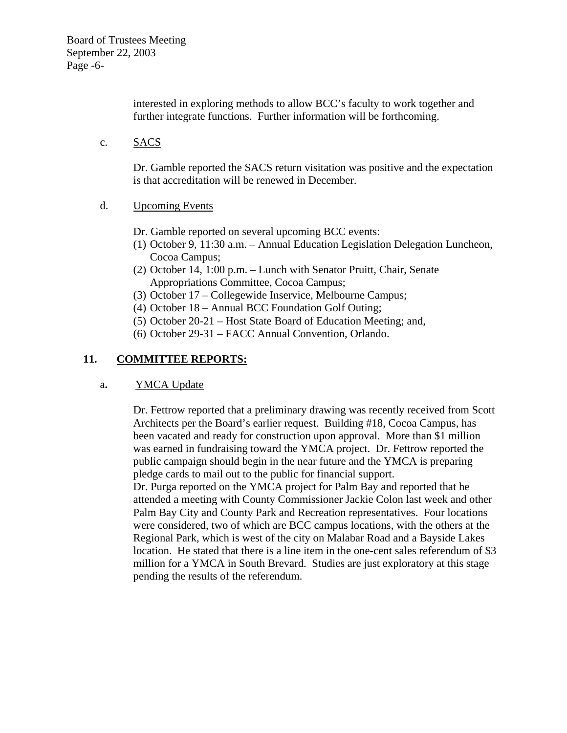interested in exploring methods to allow BCC's faculty to work together and further integrate functions. Further information will be forthcoming.

c. SACS

Dr. Gamble reported the SACS return visitation was positive and the expectation is that accreditation will be renewed in December.

- d. Upcoming Events
	- Dr. Gamble reported on several upcoming BCC events:
	- (1) October 9, 11:30 a.m. Annual Education Legislation Delegation Luncheon, Cocoa Campus;
	- (2) October 14, 1:00 p.m. Lunch with Senator Pruitt, Chair, Senate Appropriations Committee, Cocoa Campus;
	- (3) October 17 Collegewide Inservice, Melbourne Campus;
	- (4) October 18 Annual BCC Foundation Golf Outing;
	- (5) October 20-21 Host State Board of Education Meeting; and,
	- (6) October 29-31 FACC Annual Convention, Orlando.

# **11. COMMITTEE REPORTS:**

# a**.** YMCA Update

Dr. Fettrow reported that a preliminary drawing was recently received from Scott Architects per the Board's earlier request. Building #18, Cocoa Campus, has been vacated and ready for construction upon approval. More than \$1 million was earned in fundraising toward the YMCA project. Dr. Fettrow reported the public campaign should begin in the near future and the YMCA is preparing pledge cards to mail out to the public for financial support.

Dr. Purga reported on the YMCA project for Palm Bay and reported that he attended a meeting with County Commissioner Jackie Colon last week and other Palm Bay City and County Park and Recreation representatives. Four locations were considered, two of which are BCC campus locations, with the others at the Regional Park, which is west of the city on Malabar Road and a Bayside Lakes location. He stated that there is a line item in the one-cent sales referendum of \$3 million for a YMCA in South Brevard. Studies are just exploratory at this stage pending the results of the referendum.